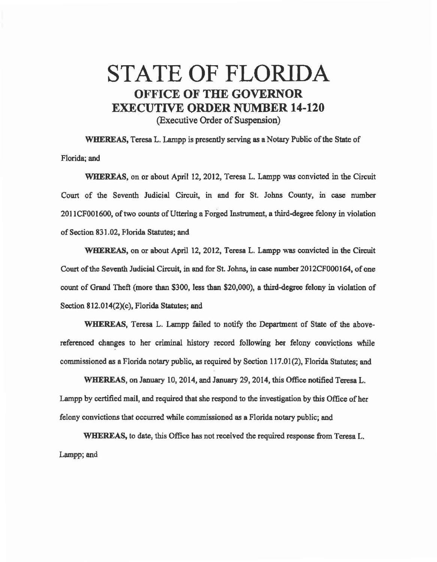## STATE OF FLORIDA OFFICE **OF THE GOVERNOR**  EXECUTIVE **ORDER** NUMBER **14-120**  (Executive Order of Suspension)

WHEREAS, Teresa L. Lampp is presently serving as a Notary Public of the State of Florida; and

WHEREAS, on or about April 12, 2012, Teresa L. Lampp was convicted in the Circuit Court of the Seventh Judicial Circuit, in and for St. Johns County, in case number 2011CF001600, of two counts of Uttering a Forged Instrument, a third.degree felony in violation of Section 831. 02, Florida Statutes; and

WHEREAS, on or about April 12, 2012, Teresa L. Lampp was convicted in the Circuit Court of the Seventh Judicial Circuit, in end for St. Johns, in case number 2012CF000164, of one count of Grand Theft (more than \$300, less than \$20,000), a third-degree felony in violation of Section 812.014(2)(c), Florida Statutes; and

WHEREAS, Teresa L. Lampp failed to notify the Department of State of the abovereferenced changes to her criminal history record following her felony convictions while commissioned as a Florida notary public, as required by Section 117.01 (2), Florida Statutes; and

WHEREAS, on January 10, 2014, and January 29, 2014, this Office notified Teresa L. Lampp by certified mail, and required that she respond to the investigation by this Office of her felony convictions that occurred while commissioned as a Florida notary public; and

WHEREAS, to date, this Office has not received the required response from Teresa L. Lampp; and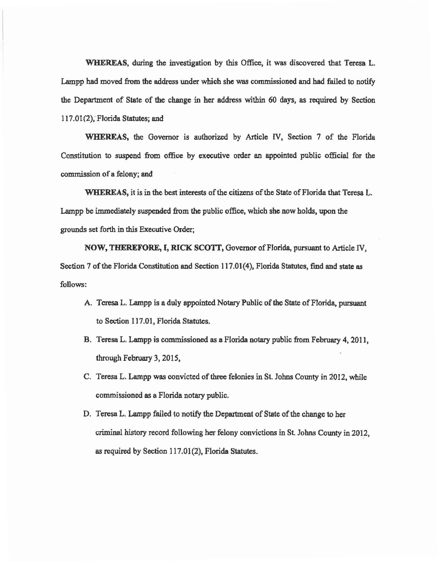WHEREAS, during the investigation by this Office, it was discovered that Teresa L. Lampp had moved from the address under which she was commissioned and had failed to notify the Department of State of 1he change in her address within 60 days, as required by Section 117 .01 (2); Florida Statutes; and

WHEREAS, the Governor is authorized by Article IV, Section 7 of the Florida Constitution to suspend from office by executive order an appointed public official for the commission of a felony; and

WHEREAS, it is in the best interests of the citizens of the State of Florida that Teresa L. Lampp be immediately suspended from the public office, which she now holds, upon the grounds set forth in this Executive Order;

NOW, THEREFORE, I, RICK SCOTT, Governor of Florida, pursuant to Article IV, Section 7 of the Florida Constitution and Section 117.01(4), Florida Statutes, find and state as follows:

- A. Teresa L. Lampp is a duly appointed Notary Public of the State of Florida, pursuant to Section 117.01, Florida Statutes.
- B. Teresa L. Lampp is commissioned as a Florida notary public from February 4, 2011, through February 3, 2015,
- C. Teresa L. Lampp was convicted of three felonies in St. Johns County in 2012, while commissioned as a Florida notary public.
- D. Teresa L. Lampp failed to notify the Department of State of the change to her criminal history record following her felony convictions in St. Johns County in 2012, as required by Section 117.01(2), Florida Statutes.